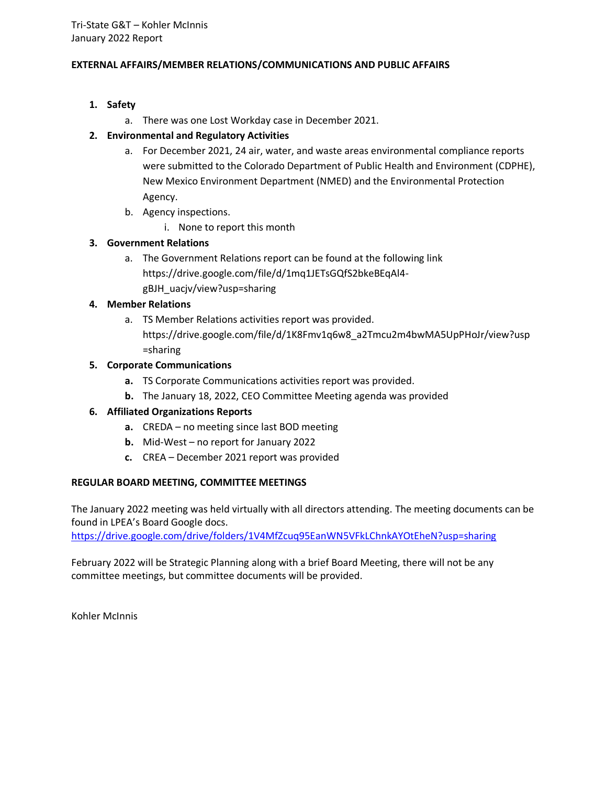# **EXTERNAL AFFAIRS/MEMBER RELATIONS/COMMUNICATIONS AND PUBLIC AFFAIRS**

# **1. Safety**

a. There was one Lost Workday case in December 2021.

# **2. Environmental and Regulatory Activities**

- a. For December 2021, 24 air, water, and waste areas environmental compliance reports were submitted to the Colorado Department of Public Health and Environment (CDPHE), New Mexico Environment Department (NMED) and the Environmental Protection Agency.
- b. Agency inspections.
	- i. None to report this month

# **3. Government Relations**

a. The Government Relations report can be found at the following link https://drive.google.com/file/d/1mq1JETsGQfS2bkeBEqAl4 gBJH\_uacjv/view?usp=sharing

# **4. Member Relations**

a. TS Member Relations activities report was provided. https://drive.google.com/file/d/1K8Fmv1q6w8\_a2Tmcu2m4bwMA5UpPHoJr/view?usp =sharing

# **5. Corporate Communications**

- **a.** TS Corporate Communications activities report was provided.
- **b.** The January 18, 2022, CEO Committee Meeting agenda was provided

# **6. Affiliated Organizations Reports**

- **a.** CREDA no meeting since last BOD meeting
- **b.** Mid-West no report for January 2022
- **c.** CREA December 2021 report was provided

# **REGULAR BOARD MEETING, COMMITTEE MEETINGS**

The January 2022 meeting was held virtually with all directors attending. The meeting documents can be found in LPEA's Board Google docs.

<https://drive.google.com/drive/folders/1V4MfZcuq95EanWN5VFkLChnkAYOtEheN?usp=sharing>

February 2022 will be Strategic Planning along with a brief Board Meeting, there will not be any committee meetings, but committee documents will be provided.

Kohler McInnis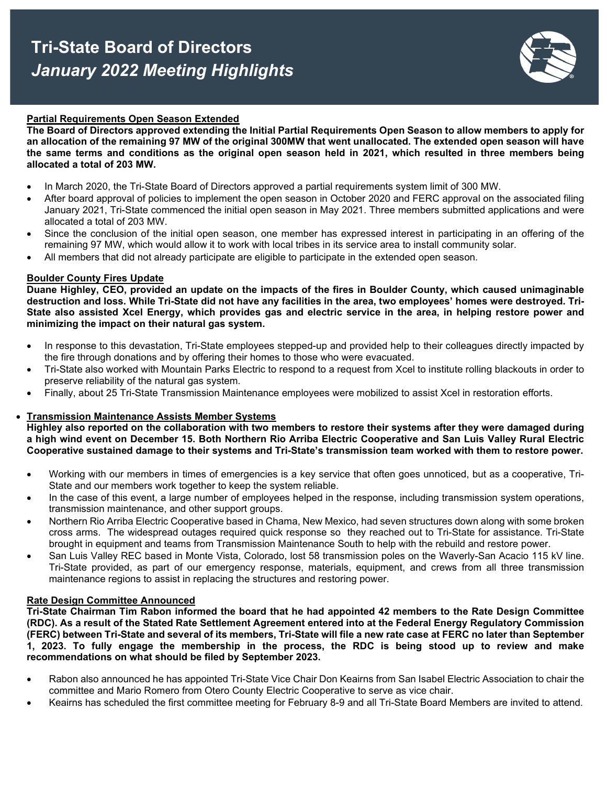# **Tri-State Board of Directors**  *January 2022 Meeting Highlights*

# **Partial Requirements Open Season Extended**

**The Board of Directors approved extending the Initial Partial Requirements Open Season to allow members to apply for an allocation of the remaining 97 MW of the original 300MW that went unallocated. The extended open season will have the same terms and conditions as the original open season held in 2021, which resulted in three members being allocated a total of 203 MW.**

- In March 2020, the Tri-State Board of Directors approved a partial requirements system limit of 300 MW.
- After board approval of policies to implement the open season in October 2020 and FERC approval on the associated filing January 2021, Tri-State commenced the initial open season in May 2021. Three members submitted applications and were allocated a total of 203 MW.
- Since the conclusion of the initial open season, one member has expressed interest in participating in an offering of the remaining 97 MW, which would allow it to work with local tribes in its service area to install community solar.
- All members that did not already participate are eligible to participate in the extended open season.

#### **Boulder County Fires Update**

**Duane Highley, CEO, provided an update on the impacts of the fires in Boulder County, which caused unimaginable destruction and loss. While Tri-State did not have any facilities in the area, two employees' homes were destroyed. Tri-State also assisted Xcel Energy, which provides gas and electric service in the area, in helping restore power and minimizing the impact on their natural gas system.** 

- In response to this devastation, Tri-State employees stepped-up and provided help to their colleagues directly impacted by the fire through donations and by offering their homes to those who were evacuated.
- Tri-State also worked with Mountain Parks Electric to respond to a request from Xcel to institute rolling blackouts in order to preserve reliability of the natural gas system.
- Finally, about 25 Tri-State Transmission Maintenance employees were mobilized to assist Xcel in restoration efforts.

# • **Transmission Maintenance Assists Member Systems**

**Highley also reported on the collaboration with two members to restore their systems after they were damaged during a high wind event on December 15. Both Northern Rio Arriba Electric Cooperative and San Luis Valley Rural Electric Cooperative sustained damage to their systems and Tri-State's transmission team worked with them to restore power.**

- Working with our members in times of emergencies is a key service that often goes unnoticed, but as a cooperative, Tri-State and our members work together to keep the system reliable.
- In the case of this event, a large number of employees helped in the response, including transmission system operations, transmission maintenance, and other support groups.
- Northern Rio Arriba Electric Cooperative based in Chama, New Mexico, had seven structures down along with some broken cross arms. The widespread outages required quick response so they reached out to Tri-State for assistance. Tri-State brought in equipment and teams from Transmission Maintenance South to help with the rebuild and restore power.
- San Luis Valley REC based in Monte Vista, Colorado, lost 58 transmission poles on the Waverly-San Acacio 115 kV line. Tri-State provided, as part of our emergency response, materials, equipment, and crews from all three transmission maintenance regions to assist in replacing the structures and restoring power.

#### **Rate Design Committee Announced**

**Tri-State Chairman Tim Rabon informed the board that he had appointed 42 members to the Rate Design Committee (RDC). As a result of the Stated Rate Settlement Agreement entered into at the Federal Energy Regulatory Commission (FERC) between Tri-State and several of its members, Tri-State will file a new rate case at FERC no later than September 1, 2023. To fully engage the membership in the process, the RDC is being stood up to review and make recommendations on what should be filed by September 2023.** 

- Rabon also announced he has appointed Tri-State Vice Chair Don Keairns from San Isabel Electric Association to chair the committee and Mario Romero from Otero County Electric Cooperative to serve as vice chair.
- Keairns has scheduled the first committee meeting for February 8-9 and all Tri-State Board Members are invited to attend.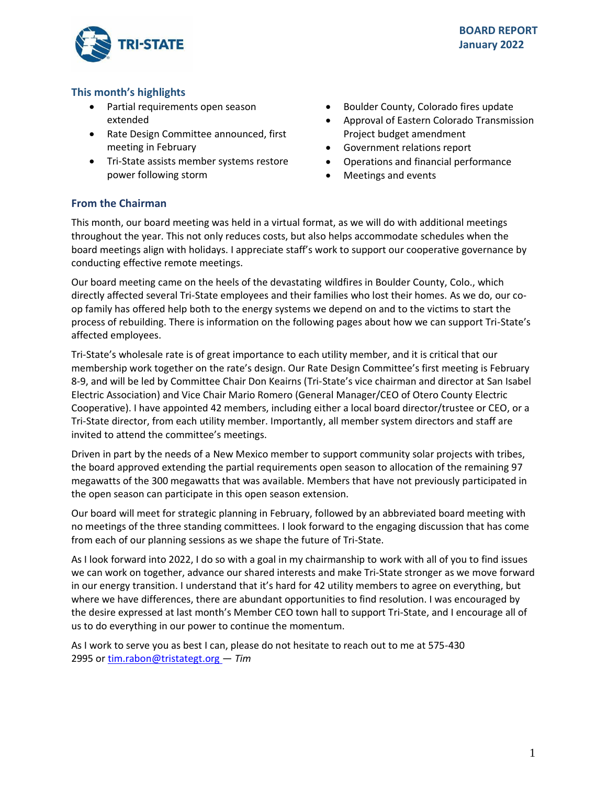

# **This month's highlights**

- Partial requirements open season extended
- Rate Design Committee announced, first meeting in February
- Tri-State assists member systems restore power following storm
- Boulder County, Colorado fires update
- Approval of Eastern Colorado Transmission Project budget amendment
- Government relations report
- Operations and financial performance
- Meetings and events

# **From the Chairman**

This month, our board meeting was held in a virtual format, as we will do with additional meetings throughout the year. This not only reduces costs, but also helps accommodate schedules when the board meetings align with holidays. I appreciate staff's work to support our cooperative governance by conducting effective remote meetings.

Our board meeting came on the heels of the devastating wildfires in Boulder County, Colo., which directly affected several Tri-State employees and their families who lost their homes. As we do, our coop family has offered help both to the energy systems we depend on and to the victims to start the process of rebuilding. There is information on the following pages about how we can support Tri-State's affected employees.

Tri-State's wholesale rate is of great importance to each utility member, and it is critical that our membership work together on the rate's design. Our Rate Design Committee's first meeting is February 8-9, and will be led by Committee Chair Don Keairns (Tri-State's vice chairman and director at San Isabel Electric Association) and Vice Chair Mario Romero (General Manager/CEO of Otero County Electric Cooperative). I have appointed 42 members, including either a local board director/trustee or CEO, or a Tri-State director, from each utility member. Importantly, all member system directors and staff are invited to attend the committee's meetings.

Driven in part by the needs of a New Mexico member to support community solar projects with tribes, the board approved extending the partial requirements open season to allocation of the remaining 97 megawatts of the 300 megawatts that was available. Members that have not previously participated in the open season can participate in this open season extension.

Our board will meet for strategic planning in February, followed by an abbreviated board meeting with no meetings of the three standing committees. I look forward to the engaging discussion that has come from each of our planning sessions as we shape the future of Tri-State.

As I look forward into 2022, I do so with a goal in my chairmanship to work with all of you to find issues we can work on together, advance our shared interests and make Tri-State stronger as we move forward in our energy transition. I understand that it's hard for 42 utility members to agree on everything, but where we have differences, there are abundant opportunities to find resolution. I was encouraged by the desire expressed at last month's Member CEO town hall to support Tri-State, and I encourage all of us to do everything in our power to continue the momentum.

As I work to serve you as best I can, please do not hesitate to reach out to me at 575-430 2995 or[tim.rabon@tristategt.org —](mailto:tim.rabon@tristategt.org) *Tim*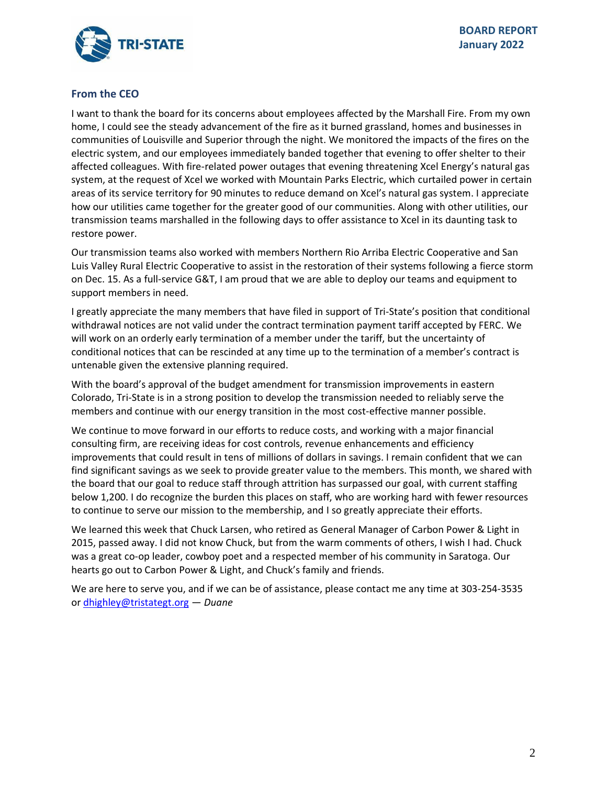

# **From the CEO**

I want to thank the board for its concerns about employees affected by the Marshall Fire. From my own home, I could see the steady advancement of the fire as it burned grassland, homes and businesses in communities of Louisville and Superior through the night. We monitored the impacts of the fires on the electric system, and our employees immediately banded together that evening to offer shelter to their affected colleagues. With fire-related power outages that evening threatening Xcel Energy's natural gas system, at the request of Xcel we worked with Mountain Parks Electric, which curtailed power in certain areas of its service territory for 90 minutes to reduce demand on Xcel's natural gas system. I appreciate how our utilities came together for the greater good of our communities. Along with other utilities, our transmission teams marshalled in the following days to offer assistance to Xcel in its daunting task to restore power.

Our transmission teams also worked with members Northern Rio Arriba Electric Cooperative and San Luis Valley Rural Electric Cooperative to assist in the restoration of their systems following a fierce storm on Dec. 15. As a full-service G&T, I am proud that we are able to deploy our teams and equipment to support members in need.

I greatly appreciate the many members that have filed in support of Tri-State's position that conditional withdrawal notices are not valid under the contract termination payment tariff accepted by FERC. We will work on an orderly early termination of a member under the tariff, but the uncertainty of conditional notices that can be rescinded at any time up to the termination of a member's contract is untenable given the extensive planning required.

With the board's approval of the budget amendment for transmission improvements in eastern Colorado, Tri-State is in a strong position to develop the transmission needed to reliably serve the members and continue with our energy transition in the most cost-effective manner possible.

We continue to move forward in our efforts to reduce costs, and working with a major financial consulting firm, are receiving ideas for cost controls, revenue enhancements and efficiency improvements that could result in tens of millions of dollars in savings. I remain confident that we can find significant savings as we seek to provide greater value to the members. This month, we shared with the board that our goal to reduce staff through attrition has surpassed our goal, with current staffing below 1,200. I do recognize the burden this places on staff, who are working hard with fewer resources to continue to serve our mission to the membership, and I so greatly appreciate their efforts.

We learned this week that Chuck Larsen, who retired as General Manager of Carbon Power & Light in 2015, passed away. I did not know Chuck, but from the warm comments of others, I wish I had. Chuck was a great co-op leader, cowboy poet and a respected member of his community in Saratoga. Our hearts go out to Carbon Power & Light, and Chuck's family and friends.

We are here to serve you, and if we can be of assistance, please contact me any time at 303-254-3535 or [dhighley@tristategt.org](mailto:dhighley@tristategt.org) — *Duane*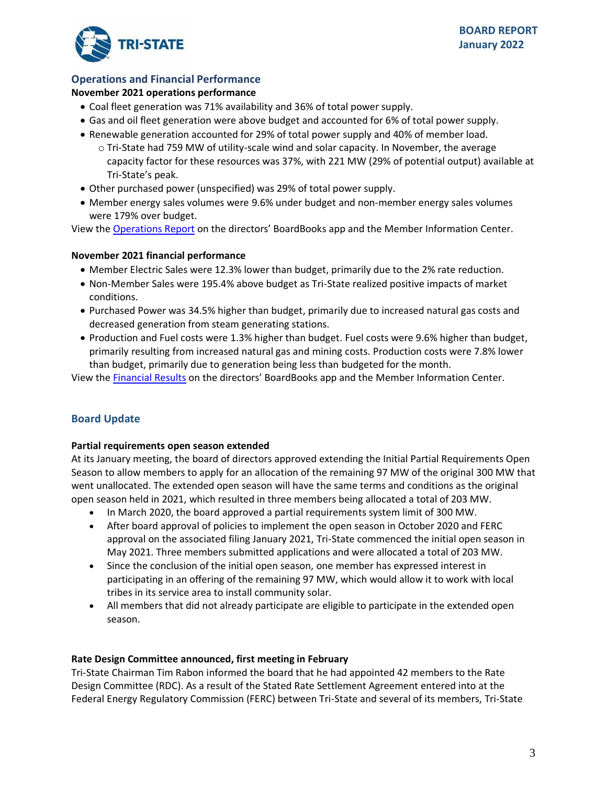

# **Operations and Financial Performance**

# **November 2021 operations performance**

- Coal fleet generation was 71% availability and 36% of total power supply.
- Gas and oil fleet generation were above budget and accounted for 6% of total power supply.
- Renewable generation accounted for 29% of total power supply and 40% of member load.
	- o Tri-State had 759 MW of utility-scale wind and solar capacity. In November, the average capacity factor for these resources was 37%, with 221 MW (29% of potential output) available at Tri-State's peak.
- Other purchased power (unspecified) was 29% of total power supply.
- Member energy sales volumes were 9.6% under budget and non-member energy sales volumes were 179% over budget.

View the [Operations Report](https://mic.tristategt.org/Member%20Managers/2022-01-EO%20-%20Operations%20Report.pdf) on the directors' BoardBooks app and the Member [Information Center.](https://mic.tristategt.org/Member%20Managers/2020-08-BOD%20-%20Operations%20Report.pdf)

# **November 2021 financial performance**

- Member Electric Sales were 12.3% lower than budget, primarily due to the 2% rate reduction.
- Non-Member Sales were 195.4% above budget as Tri-State realized positive impacts of market conditions.
- Purchased Power was 34.5% higher than budget, primarily due to increased natural gas costs and decreased generation from steam generating stations.
- Production and Fuel costs were 1.3% higher than budget. Fuel costs were 9.6% higher than budget, primarily resulting from increased natural gas and mining costs. Production costs were 7.8% lower than budget, primarily due to generation being less than budgeted for the month.

View the [Financial Results](https://mic.tristategt.org/Member%20Managers/2022-01-BOD-FIN%20-%20Financial%20Results.pdf) on the directors' BoardBooks app and the Member [I](https://mic.tristategt.org/Member%20Managers/2020-08-BOD%20-%20Operations%20Report.pdf)nformation Center.

# **Board Update**

# **Partial requirements open season extended**

At its January meeting, the board of directors approved extending the Initial Partial Requirements Open Season to allow members to apply for an allocation of the remaining 97 MW of the original 300 MW that went unallocated. The extended open season will have the same terms and conditions as the original open season held in 2021, which resulted in three members being allocated a total of 203 MW.

- In March 2020, the board approved a partial requirements system limit of 300 MW.
- After board approval of policies to implement the open season in October 2020 and FERC approval on the associated filing January 2021, Tri-State commenced the initial open season in May 2021. Three members submitted applications and were allocated a total of 203 MW.
- Since the conclusion of the initial open season, one member has expressed interest in participating in an offering of the remaining 97 MW, which would allow it to work with local tribes in its service area to install community solar.
- All members that did not already participate are eligible to participate in the extended open season.

# **Rate Design Committee announced, first meeting in February**

Tri-State Chairman Tim Rabon informed the board that he had appointed 42 members to the Rate Design Committee (RDC). As a result of the Stated Rate Settlement Agreement entered into at the Federal Energy Regulatory Commission (FERC) between Tri-State and several of its members, Tri-State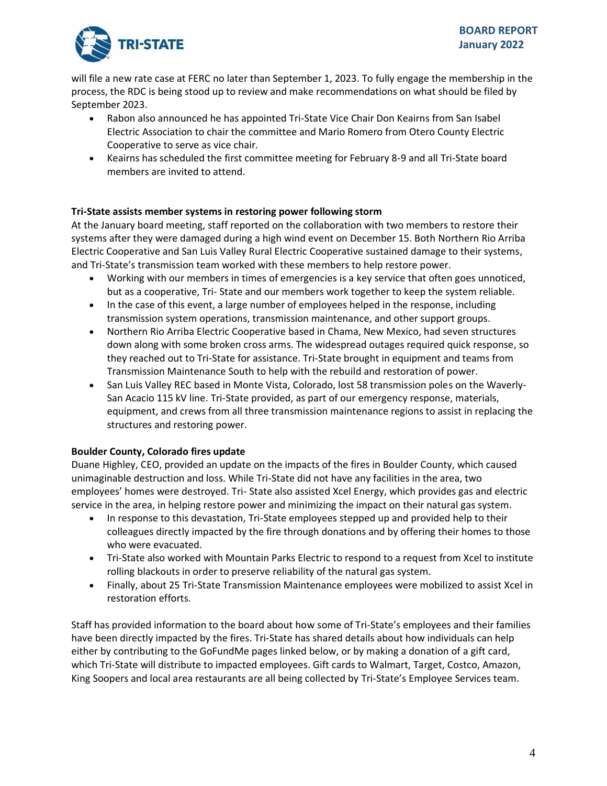

will file a new rate case at FERC no later than September 1, 2023. To fully engage the membership in the process, the RDC is being stood up to review and make recommendations on what should be filed by September 2023.

- Rabon also announced he has appointed Tri-State Vice Chair Don Keairns from San Isabel Electric Association to chair the committee and Mario Romero from Otero County Electric Cooperative to serve as vice chair.
- Keairns has scheduled the first committee meeting for February 8-9 and all Tri-State board members are invited to attend.

# **Tri-State assists member systems in restoring power following storm**

At the January board meeting, staff reported on the collaboration with two members to restore their systems after they were damaged during a high wind event on December 15. Both Northern Rio Arriba Electric Cooperative and San Luis Valley Rural Electric Cooperative sustained damage to their systems, and Tri-State's transmission team worked with these members to help restore power.

- Working with our members in times of emergencies is a key service that often goes unnoticed, but as a cooperative, Tri- State and our members work together to keep the system reliable.
- In the case of this event, a large number of employees helped in the response, including transmission system operations, transmission maintenance, and other support groups.
- Northern Rio Arriba Electric Cooperative based in Chama, New Mexico, had seven structures down along with some broken cross arms. The widespread outages required quick response, so they reached out to Tri-State for assistance. Tri-State brought in equipment and teams from Transmission Maintenance South to help with the rebuild and restoration of power.
- San Luis Valley REC based in Monte Vista, Colorado, lost 58 transmission poles on the Waverly-San Acacio 115 kV line. Tri-State provided, as part of our emergency response, materials, equipment, and crews from all three transmission maintenance regions to assist in replacing the structures and restoring power.

# **Boulder County, Colorado fires update**

Duane Highley, CEO, provided an update on the impacts of the fires in Boulder County, which caused unimaginable destruction and loss. While Tri-State did not have any facilities in the area, two employees' homes were destroyed. Tri- State also assisted Xcel Energy, which provides gas and electric service in the area, in helping restore power and minimizing the impact on their natural gas system.

- In response to this devastation, Tri-State employees stepped up and provided help to their colleagues directly impacted by the fire through donations and by offering their homes to those who were evacuated.
- Tri-State also worked with Mountain Parks Electric to respond to a request from Xcel to institute rolling blackouts in order to preserve reliability of the natural gas system.
- Finally, about 25 Tri-State Transmission Maintenance employees were mobilized to assist Xcel in restoration efforts.

Staff has provided information to the board about how some of Tri-State's employees and their families have been directly impacted by the fires. Tri-State has shared details about how individuals can help either by contributing to the GoFundMe pages linked below, or by making a donation of a gift card, which Tri-State will distribute to impacted employees. Gift cards to Walmart, Target, Costco, Amazon, King Soopers and local area restaurants are all being collected by Tri-State's Employee Services team.